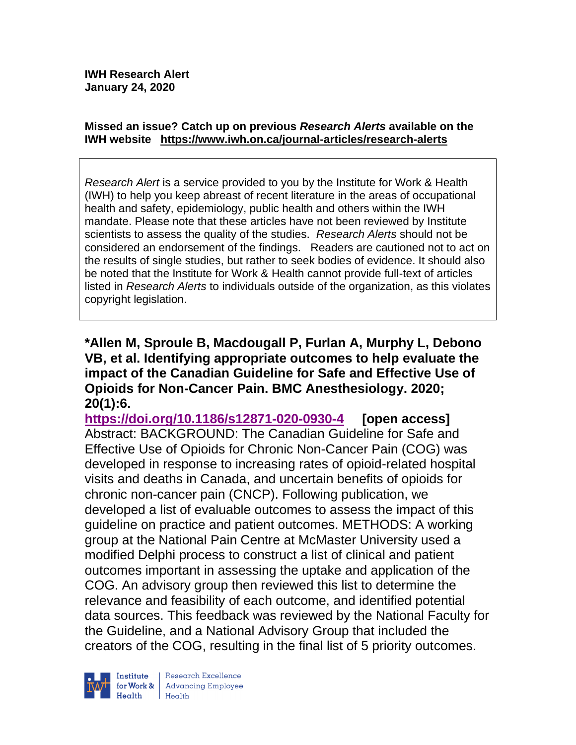#### **Missed an issue? Catch up on previous** *Research Alerts* **available on the [IWH website](http://www.iwh.on.ca/research-alerts) <https://www.iwh.on.ca/journal-articles/research-alerts>**

*Research Alert* is a service provided to you by the Institute for Work & Health (IWH) to help you keep abreast of recent literature in the areas of occupational health and safety, epidemiology, public health and others within the IWH mandate. Please note that these articles have not been reviewed by Institute scientists to assess the quality of the studies. *Research Alerts* should not be considered an endorsement of the findings. Readers are cautioned not to act on the results of single studies, but rather to seek bodies of evidence. It should also be noted that the Institute for Work & Health cannot provide full-text of articles listed in *Research Alerts* to individuals outside of the organization, as this violates copyright legislation.

**\*Allen M, Sproule B, Macdougall P, Furlan A, Murphy L, Debono VB, et al. Identifying appropriate outcomes to help evaluate the impact of the Canadian Guideline for Safe and Effective Use of Opioids for Non-Cancer Pain. BMC Anesthesiology. 2020; 20(1):6.**

**<https://doi.org/10.1186/s12871-020-0930-4> [open access]** Abstract: BACKGROUND: The Canadian Guideline for Safe and Effective Use of Opioids for Chronic Non-Cancer Pain (COG) was developed in response to increasing rates of opioid-related hospital visits and deaths in Canada, and uncertain benefits of opioids for chronic non-cancer pain (CNCP). Following publication, we developed a list of evaluable outcomes to assess the impact of this guideline on practice and patient outcomes. METHODS: A working group at the National Pain Centre at McMaster University used a modified Delphi process to construct a list of clinical and patient outcomes important in assessing the uptake and application of the COG. An advisory group then reviewed this list to determine the relevance and feasibility of each outcome, and identified potential data sources. This feedback was reviewed by the National Faculty for the Guideline, and a National Advisory Group that included the creators of the COG, resulting in the final list of 5 priority outcomes.



Research Excellence for Work & | Advancing Employee  $H$ ealth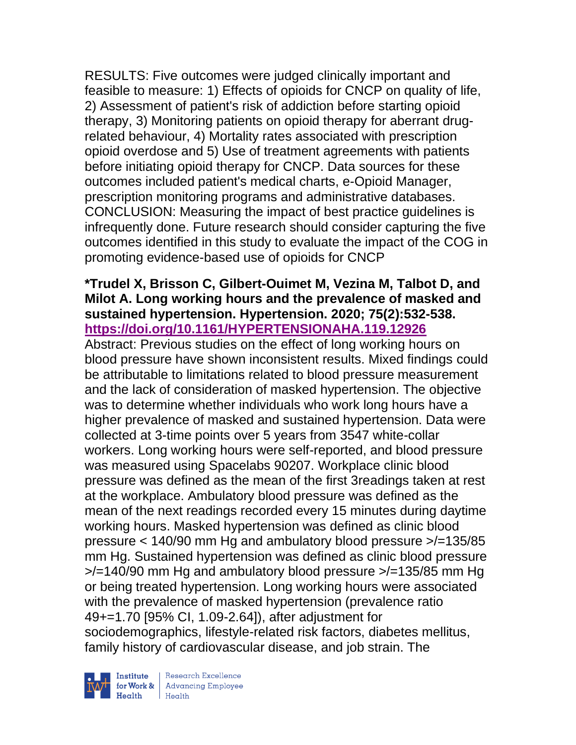RESULTS: Five outcomes were judged clinically important and feasible to measure: 1) Effects of opioids for CNCP on quality of life, 2) Assessment of patient's risk of addiction before starting opioid therapy, 3) Monitoring patients on opioid therapy for aberrant drugrelated behaviour, 4) Mortality rates associated with prescription opioid overdose and 5) Use of treatment agreements with patients before initiating opioid therapy for CNCP. Data sources for these outcomes included patient's medical charts, e-Opioid Manager, prescription monitoring programs and administrative databases. CONCLUSION: Measuring the impact of best practice guidelines is infrequently done. Future research should consider capturing the five outcomes identified in this study to evaluate the impact of the COG in promoting evidence-based use of opioids for CNCP

### **\*Trudel X, Brisson C, Gilbert-Ouimet M, Vezina M, Talbot D, and Milot A. Long working hours and the prevalence of masked and sustained hypertension. Hypertension. 2020; 75(2):532-538. <https://doi.org/10.1161/HYPERTENSIONAHA.119.12926>**

Abstract: Previous studies on the effect of long working hours on blood pressure have shown inconsistent results. Mixed findings could be attributable to limitations related to blood pressure measurement and the lack of consideration of masked hypertension. The objective was to determine whether individuals who work long hours have a higher prevalence of masked and sustained hypertension. Data were collected at 3-time points over 5 years from 3547 white-collar workers. Long working hours were self-reported, and blood pressure was measured using Spacelabs 90207. Workplace clinic blood pressure was defined as the mean of the first 3readings taken at rest at the workplace. Ambulatory blood pressure was defined as the mean of the next readings recorded every 15 minutes during daytime working hours. Masked hypertension was defined as clinic blood pressure < 140/90 mm Hg and ambulatory blood pressure >/=135/85 mm Hg. Sustained hypertension was defined as clinic blood pressure  $\ge$ /=140/90 mm Hg and ambulatory blood pressure  $\ge$ /=135/85 mm Hg or being treated hypertension. Long working hours were associated with the prevalence of masked hypertension (prevalence ratio 49+=1.70 [95% CI, 1.09-2.64]), after adjustment for sociodemographics, lifestyle-related risk factors, diabetes mellitus, family history of cardiovascular disease, and job strain. The

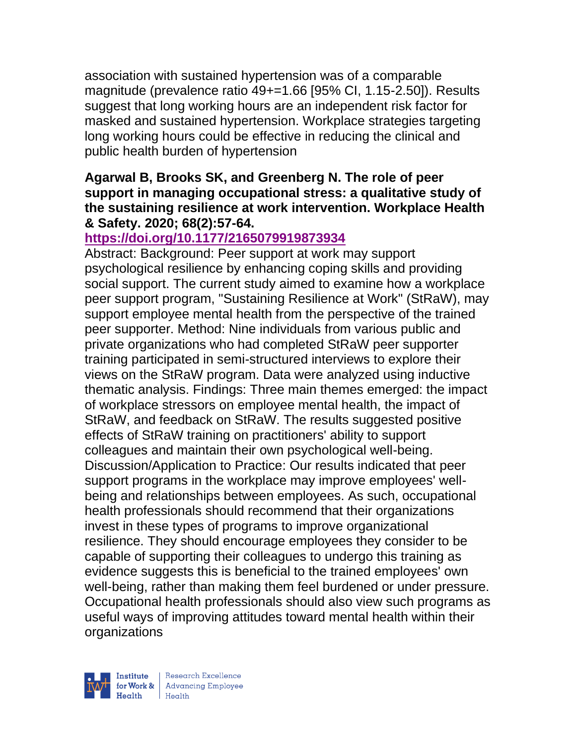association with sustained hypertension was of a comparable magnitude (prevalence ratio 49+=1.66 [95% CI, 1.15-2.50]). Results suggest that long working hours are an independent risk factor for masked and sustained hypertension. Workplace strategies targeting long working hours could be effective in reducing the clinical and public health burden of hypertension

### **Agarwal B, Brooks SK, and Greenberg N. The role of peer support in managing occupational stress: a qualitative study of the sustaining resilience at work intervention. Workplace Health & Safety. 2020; 68(2):57-64.**

# **<https://doi.org/10.1177/2165079919873934>**

Abstract: Background: Peer support at work may support psychological resilience by enhancing coping skills and providing social support. The current study aimed to examine how a workplace peer support program, "Sustaining Resilience at Work" (StRaW), may support employee mental health from the perspective of the trained peer supporter. Method: Nine individuals from various public and private organizations who had completed StRaW peer supporter training participated in semi-structured interviews to explore their views on the StRaW program. Data were analyzed using inductive thematic analysis. Findings: Three main themes emerged: the impact of workplace stressors on employee mental health, the impact of StRaW, and feedback on StRaW. The results suggested positive effects of StRaW training on practitioners' ability to support colleagues and maintain their own psychological well-being. Discussion/Application to Practice: Our results indicated that peer support programs in the workplace may improve employees' wellbeing and relationships between employees. As such, occupational health professionals should recommend that their organizations invest in these types of programs to improve organizational resilience. They should encourage employees they consider to be capable of supporting their colleagues to undergo this training as evidence suggests this is beneficial to the trained employees' own well-being, rather than making them feel burdened or under pressure. Occupational health professionals should also view such programs as useful ways of improving attitudes toward mental health within their organizations

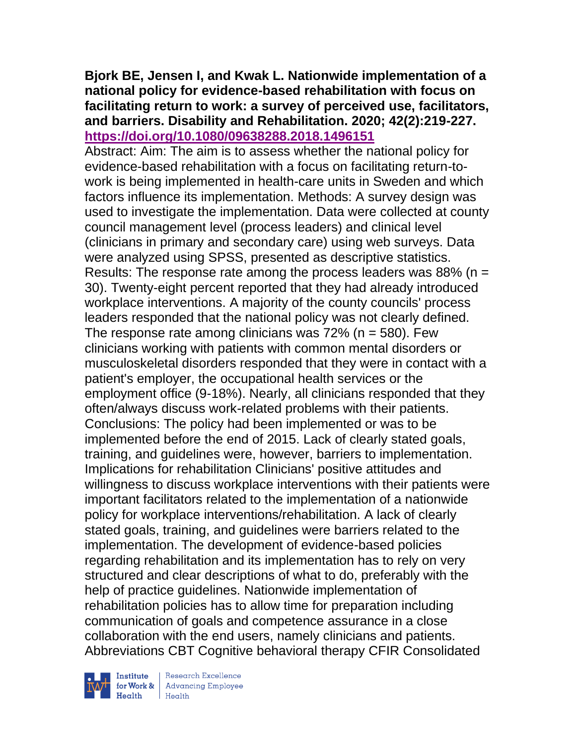### **Bjork BE, Jensen I, and Kwak L. Nationwide implementation of a national policy for evidence-based rehabilitation with focus on facilitating return to work: a survey of perceived use, facilitators, and barriers. Disability and Rehabilitation. 2020; 42(2):219-227. <https://doi.org/10.1080/09638288.2018.1496151>**

Abstract: Aim: The aim is to assess whether the national policy for evidence-based rehabilitation with a focus on facilitating return-towork is being implemented in health-care units in Sweden and which factors influence its implementation. Methods: A survey design was used to investigate the implementation. Data were collected at county council management level (process leaders) and clinical level (clinicians in primary and secondary care) using web surveys. Data were analyzed using SPSS, presented as descriptive statistics. Results: The response rate among the process leaders was  $88\%$  (n = 30). Twenty-eight percent reported that they had already introduced workplace interventions. A majority of the county councils' process leaders responded that the national policy was not clearly defined. The response rate among clinicians was  $72\%$  (n = 580). Few clinicians working with patients with common mental disorders or musculoskeletal disorders responded that they were in contact with a patient's employer, the occupational health services or the employment office (9-18%). Nearly, all clinicians responded that they often/always discuss work-related problems with their patients. Conclusions: The policy had been implemented or was to be implemented before the end of 2015. Lack of clearly stated goals, training, and guidelines were, however, barriers to implementation. Implications for rehabilitation Clinicians' positive attitudes and willingness to discuss workplace interventions with their patients were important facilitators related to the implementation of a nationwide policy for workplace interventions/rehabilitation. A lack of clearly stated goals, training, and guidelines were barriers related to the implementation. The development of evidence-based policies regarding rehabilitation and its implementation has to rely on very structured and clear descriptions of what to do, preferably with the help of practice guidelines. Nationwide implementation of rehabilitation policies has to allow time for preparation including communication of goals and competence assurance in a close collaboration with the end users, namely clinicians and patients. Abbreviations CBT Cognitive behavioral therapy CFIR Consolidated

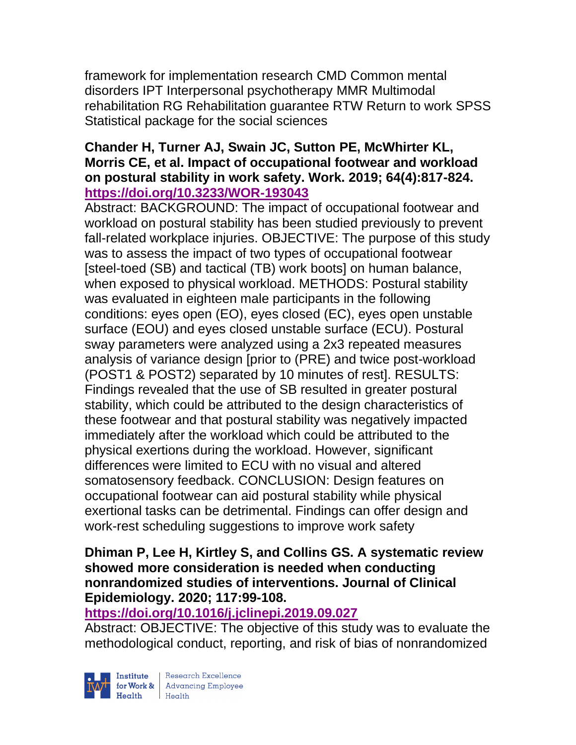framework for implementation research CMD Common mental disorders IPT Interpersonal psychotherapy MMR Multimodal rehabilitation RG Rehabilitation guarantee RTW Return to work SPSS Statistical package for the social sciences

### **Chander H, Turner AJ, Swain JC, Sutton PE, McWhirter KL, Morris CE, et al. Impact of occupational footwear and workload on postural stability in work safety. Work. 2019; 64(4):817-824. <https://doi.org/10.3233/WOR-193043>**

Abstract: BACKGROUND: The impact of occupational footwear and workload on postural stability has been studied previously to prevent fall-related workplace injuries. OBJECTIVE: The purpose of this study was to assess the impact of two types of occupational footwear [steel-toed (SB) and tactical (TB) work boots] on human balance, when exposed to physical workload. METHODS: Postural stability was evaluated in eighteen male participants in the following conditions: eyes open (EO), eyes closed (EC), eyes open unstable surface (EOU) and eyes closed unstable surface (ECU). Postural sway parameters were analyzed using a 2x3 repeated measures analysis of variance design [prior to (PRE) and twice post-workload (POST1 & POST2) separated by 10 minutes of rest]. RESULTS: Findings revealed that the use of SB resulted in greater postural stability, which could be attributed to the design characteristics of these footwear and that postural stability was negatively impacted immediately after the workload which could be attributed to the physical exertions during the workload. However, significant differences were limited to ECU with no visual and altered somatosensory feedback. CONCLUSION: Design features on occupational footwear can aid postural stability while physical exertional tasks can be detrimental. Findings can offer design and work-rest scheduling suggestions to improve work safety

#### **Dhiman P, Lee H, Kirtley S, and Collins GS. A systematic review showed more consideration is needed when conducting nonrandomized studies of interventions. Journal of Clinical Epidemiology. 2020; 117:99-108.**

## **<https://doi.org/10.1016/j.jclinepi.2019.09.027>**

Abstract: OBJECTIVE: The objective of this study was to evaluate the methodological conduct, reporting, and risk of bias of nonrandomized

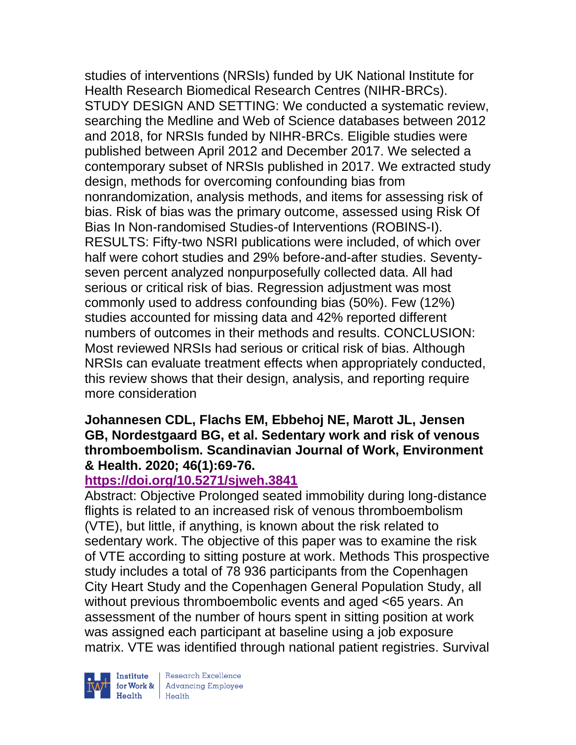studies of interventions (NRSIs) funded by UK National Institute for Health Research Biomedical Research Centres (NIHR-BRCs). STUDY DESIGN AND SETTING: We conducted a systematic review, searching the Medline and Web of Science databases between 2012 and 2018, for NRSIs funded by NIHR-BRCs. Eligible studies were published between April 2012 and December 2017. We selected a contemporary subset of NRSIs published in 2017. We extracted study design, methods for overcoming confounding bias from nonrandomization, analysis methods, and items for assessing risk of bias. Risk of bias was the primary outcome, assessed using Risk Of Bias In Non-randomised Studies-of Interventions (ROBINS-I). RESULTS: Fifty-two NSRI publications were included, of which over half were cohort studies and 29% before-and-after studies. Seventyseven percent analyzed nonpurposefully collected data. All had serious or critical risk of bias. Regression adjustment was most commonly used to address confounding bias (50%). Few (12%) studies accounted for missing data and 42% reported different numbers of outcomes in their methods and results. CONCLUSION: Most reviewed NRSIs had serious or critical risk of bias. Although NRSIs can evaluate treatment effects when appropriately conducted, this review shows that their design, analysis, and reporting require more consideration

#### **Johannesen CDL, Flachs EM, Ebbehoj NE, Marott JL, Jensen GB, Nordestgaard BG, et al. Sedentary work and risk of venous thromboembolism. Scandinavian Journal of Work, Environment & Health. 2020; 46(1):69-76.**

## **<https://doi.org/10.5271/sjweh.3841>**

Abstract: Objective Prolonged seated immobility during long-distance flights is related to an increased risk of venous thromboembolism (VTE), but little, if anything, is known about the risk related to sedentary work. The objective of this paper was to examine the risk of VTE according to sitting posture at work. Methods This prospective study includes a total of 78 936 participants from the Copenhagen City Heart Study and the Copenhagen General Population Study, all without previous thromboembolic events and aged <65 years. An assessment of the number of hours spent in sitting position at work was assigned each participant at baseline using a job exposure matrix. VTE was identified through national patient registries. Survival



 $\begin{tabular}{|l|} Institute & Research Excellence \\ \hline for Work & Advancing Employee \\ Health & Health \\ \end{tabular}$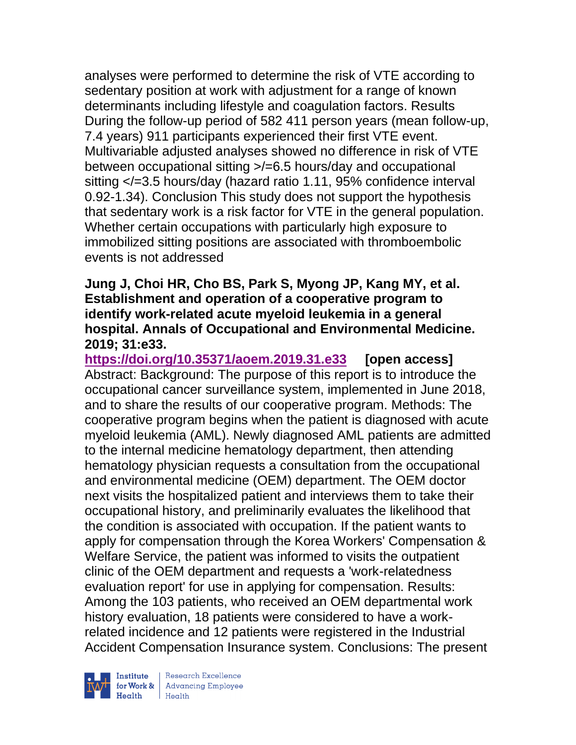analyses were performed to determine the risk of VTE according to sedentary position at work with adjustment for a range of known determinants including lifestyle and coagulation factors. Results During the follow-up period of 582 411 person years (mean follow-up, 7.4 years) 911 participants experienced their first VTE event. Multivariable adjusted analyses showed no difference in risk of VTE between occupational sitting >/=6.5 hours/day and occupational sitting </=3.5 hours/day (hazard ratio 1.11, 95% confidence interval 0.92-1.34). Conclusion This study does not support the hypothesis that sedentary work is a risk factor for VTE in the general population. Whether certain occupations with particularly high exposure to immobilized sitting positions are associated with thromboembolic events is not addressed

#### **Jung J, Choi HR, Cho BS, Park S, Myong JP, Kang MY, et al. Establishment and operation of a cooperative program to identify work-related acute myeloid leukemia in a general hospital. Annals of Occupational and Environmental Medicine. 2019; 31:e33.**

**<https://doi.org/10.35371/aoem.2019.31.e33> [open access]** Abstract: Background: The purpose of this report is to introduce the occupational cancer surveillance system, implemented in June 2018, and to share the results of our cooperative program. Methods: The cooperative program begins when the patient is diagnosed with acute myeloid leukemia (AML). Newly diagnosed AML patients are admitted to the internal medicine hematology department, then attending hematology physician requests a consultation from the occupational and environmental medicine (OEM) department. The OEM doctor next visits the hospitalized patient and interviews them to take their occupational history, and preliminarily evaluates the likelihood that the condition is associated with occupation. If the patient wants to apply for compensation through the Korea Workers' Compensation & Welfare Service, the patient was informed to visits the outpatient clinic of the OEM department and requests a 'work-relatedness evaluation report' for use in applying for compensation. Results: Among the 103 patients, who received an OEM departmental work history evaluation, 18 patients were considered to have a workrelated incidence and 12 patients were registered in the Industrial Accident Compensation Insurance system. Conclusions: The present

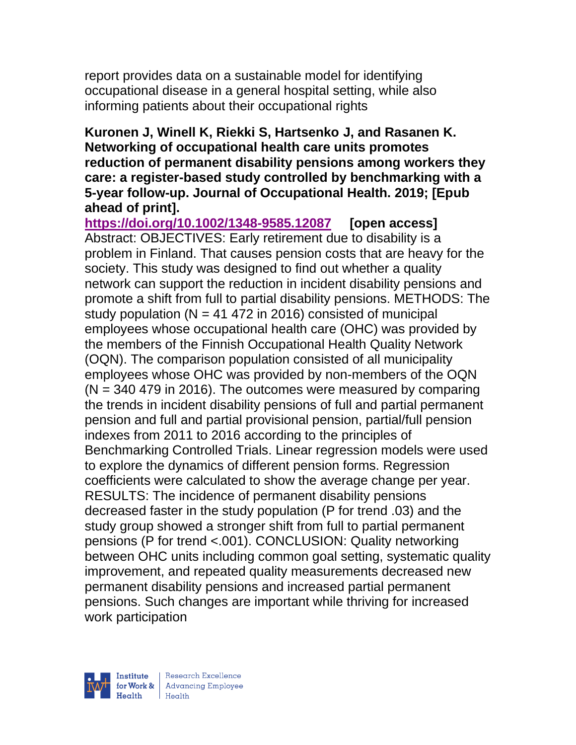report provides data on a sustainable model for identifying occupational disease in a general hospital setting, while also informing patients about their occupational rights

#### **Kuronen J, Winell K, Riekki S, Hartsenko J, and Rasanen K. Networking of occupational health care units promotes reduction of permanent disability pensions among workers they care: a register-based study controlled by benchmarking with a 5-year follow-up. Journal of Occupational Health. 2019; [Epub ahead of print].**

**<https://doi.org/10.1002/1348-9585.12087> [open access]** Abstract: OBJECTIVES: Early retirement due to disability is a problem in Finland. That causes pension costs that are heavy for the society. This study was designed to find out whether a quality network can support the reduction in incident disability pensions and promote a shift from full to partial disability pensions. METHODS: The study population ( $N = 41 472$  in 2016) consisted of municipal employees whose occupational health care (OHC) was provided by the members of the Finnish Occupational Health Quality Network (OQN). The comparison population consisted of all municipality employees whose OHC was provided by non-members of the OQN  $(N = 340 479$  in 2016). The outcomes were measured by comparing the trends in incident disability pensions of full and partial permanent pension and full and partial provisional pension, partial/full pension indexes from 2011 to 2016 according to the principles of Benchmarking Controlled Trials. Linear regression models were used to explore the dynamics of different pension forms. Regression coefficients were calculated to show the average change per year. RESULTS: The incidence of permanent disability pensions decreased faster in the study population (P for trend .03) and the study group showed a stronger shift from full to partial permanent pensions (P for trend <.001). CONCLUSION: Quality networking between OHC units including common goal setting, systematic quality improvement, and repeated quality measurements decreased new permanent disability pensions and increased partial permanent pensions. Such changes are important while thriving for increased work participation

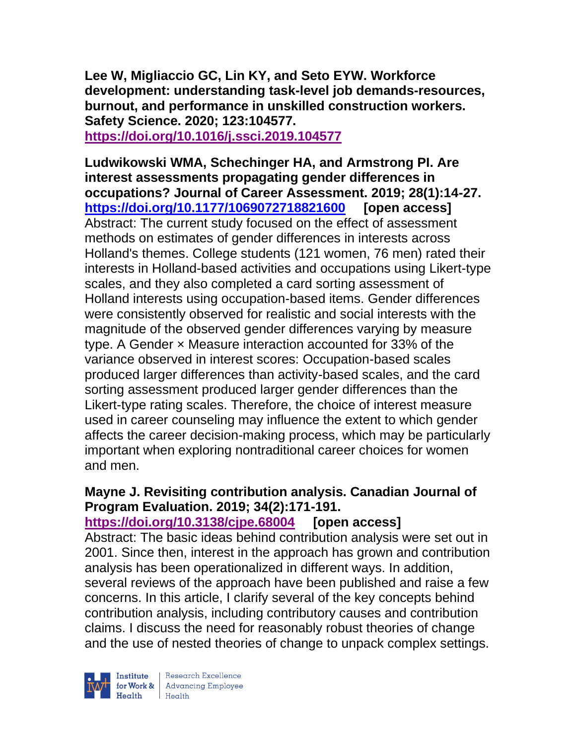**Lee W, Migliaccio GC, Lin KY, and Seto EYW. Workforce development: understanding task-level job demands-resources, burnout, and performance in unskilled construction workers. Safety Science. 2020; 123:104577. <https://doi.org/10.1016/j.ssci.2019.104577>** 

**Ludwikowski WMA, Schechinger HA, and Armstrong PI. Are interest assessments propagating gender differences in occupations? Journal of Career Assessment. 2019; 28(1):14-27. <https://doi.org/10.1177/1069072718821600> [open access]** Abstract: The current study focused on the effect of assessment methods on estimates of gender differences in interests across Holland's themes. College students (121 women, 76 men) rated their interests in Holland-based activities and occupations using Likert-type scales, and they also completed a card sorting assessment of Holland interests using occupation-based items. Gender differences were consistently observed for realistic and social interests with the magnitude of the observed gender differences varying by measure type. A Gender × Measure interaction accounted for 33% of the variance observed in interest scores: Occupation-based scales produced larger differences than activity-based scales, and the card sorting assessment produced larger gender differences than the Likert-type rating scales. Therefore, the choice of interest measure used in career counseling may influence the extent to which gender affects the career decision-making process, which may be particularly important when exploring nontraditional career choices for women and men.

### **Mayne J. Revisiting contribution analysis. Canadian Journal of Program Evaluation. 2019; 34(2):171-191.**

**<https://doi.org/10.3138/cjpe.68004> [open access]** Abstract: The basic ideas behind contribution analysis were set out in 2001. Since then, interest in the approach has grown and contribution analysis has been operationalized in different ways. In addition, several reviews of the approach have been published and raise a few concerns. In this article, I clarify several of the key concepts behind contribution analysis, including contributory causes and contribution claims. I discuss the need for reasonably robust theories of change and the use of nested theories of change to unpack complex settings.

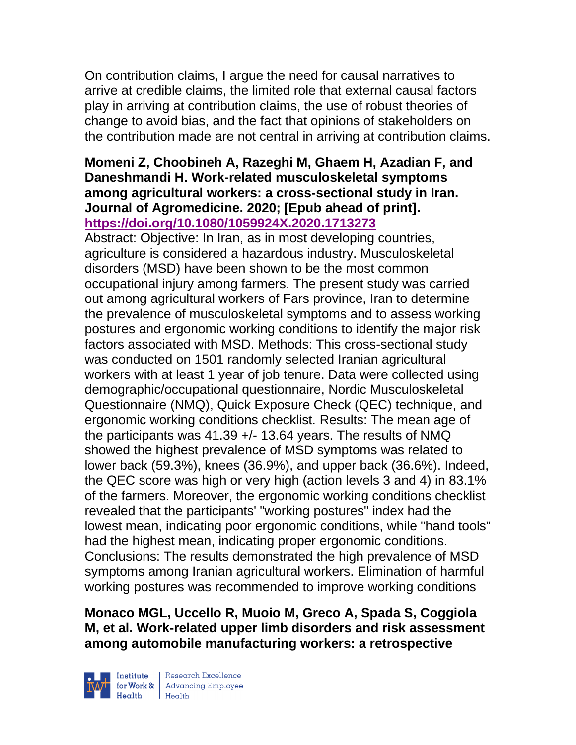On contribution claims, I argue the need for causal narratives to arrive at credible claims, the limited role that external causal factors play in arriving at contribution claims, the use of robust theories of change to avoid bias, and the fact that opinions of stakeholders on the contribution made are not central in arriving at contribution claims.

### **Momeni Z, Choobineh A, Razeghi M, Ghaem H, Azadian F, and Daneshmandi H. Work-related musculoskeletal symptoms among agricultural workers: a cross-sectional study in Iran. Journal of Agromedicine. 2020; [Epub ahead of print]. <https://doi.org/10.1080/1059924X.2020.1713273>**

Abstract: Objective: In Iran, as in most developing countries, agriculture is considered a hazardous industry. Musculoskeletal disorders (MSD) have been shown to be the most common occupational injury among farmers. The present study was carried out among agricultural workers of Fars province, Iran to determine the prevalence of musculoskeletal symptoms and to assess working postures and ergonomic working conditions to identify the major risk factors associated with MSD. Methods: This cross-sectional study was conducted on 1501 randomly selected Iranian agricultural workers with at least 1 year of job tenure. Data were collected using demographic/occupational questionnaire, Nordic Musculoskeletal Questionnaire (NMQ), Quick Exposure Check (QEC) technique, and ergonomic working conditions checklist. Results: The mean age of the participants was 41.39 +/- 13.64 years. The results of NMQ showed the highest prevalence of MSD symptoms was related to lower back (59.3%), knees (36.9%), and upper back (36.6%). Indeed, the QEC score was high or very high (action levels 3 and 4) in 83.1% of the farmers. Moreover, the ergonomic working conditions checklist revealed that the participants' "working postures" index had the lowest mean, indicating poor ergonomic conditions, while "hand tools" had the highest mean, indicating proper ergonomic conditions. Conclusions: The results demonstrated the high prevalence of MSD symptoms among Iranian agricultural workers. Elimination of harmful working postures was recommended to improve working conditions

**Monaco MGL, Uccello R, Muoio M, Greco A, Spada S, Coggiola M, et al. Work-related upper limb disorders and risk assessment among automobile manufacturing workers: a retrospective** 

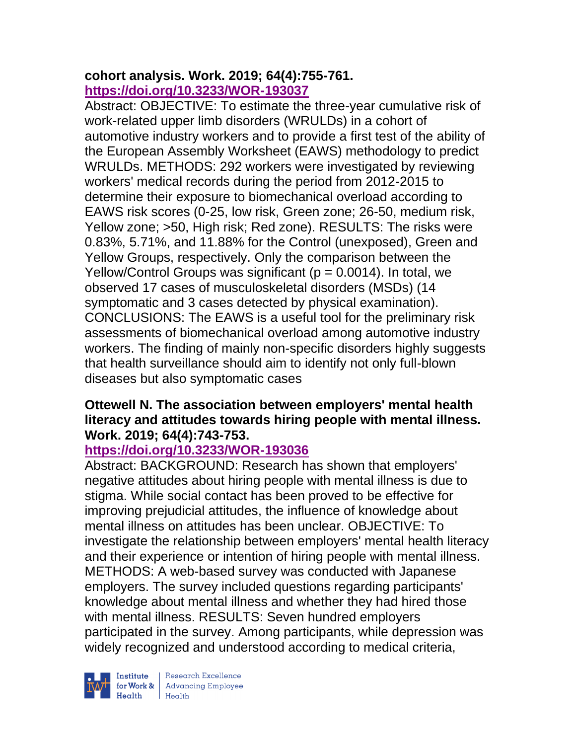### **cohort analysis. Work. 2019; 64(4):755-761. <https://doi.org/10.3233/WOR-193037>**

Abstract: OBJECTIVE: To estimate the three-year cumulative risk of work-related upper limb disorders (WRULDs) in a cohort of automotive industry workers and to provide a first test of the ability of the European Assembly Worksheet (EAWS) methodology to predict WRULDs. METHODS: 292 workers were investigated by reviewing workers' medical records during the period from 2012-2015 to determine their exposure to biomechanical overload according to EAWS risk scores (0-25, low risk, Green zone; 26-50, medium risk, Yellow zone; >50, High risk; Red zone). RESULTS: The risks were 0.83%, 5.71%, and 11.88% for the Control (unexposed), Green and Yellow Groups, respectively. Only the comparison between the Yellow/Control Groups was significant ( $p = 0.0014$ ). In total, we observed 17 cases of musculoskeletal disorders (MSDs) (14 symptomatic and 3 cases detected by physical examination). CONCLUSIONS: The EAWS is a useful tool for the preliminary risk assessments of biomechanical overload among automotive industry workers. The finding of mainly non-specific disorders highly suggests that health surveillance should aim to identify not only full-blown diseases but also symptomatic cases

### **Ottewell N. The association between employers' mental health literacy and attitudes towards hiring people with mental illness. Work. 2019; 64(4):743-753.**

## **<https://doi.org/10.3233/WOR-193036>**

Abstract: BACKGROUND: Research has shown that employers' negative attitudes about hiring people with mental illness is due to stigma. While social contact has been proved to be effective for improving prejudicial attitudes, the influence of knowledge about mental illness on attitudes has been unclear. OBJECTIVE: To investigate the relationship between employers' mental health literacy and their experience or intention of hiring people with mental illness. METHODS: A web-based survey was conducted with Japanese employers. The survey included questions regarding participants' knowledge about mental illness and whether they had hired those with mental illness. RESULTS: Seven hundred employers participated in the survey. Among participants, while depression was widely recognized and understood according to medical criteria,

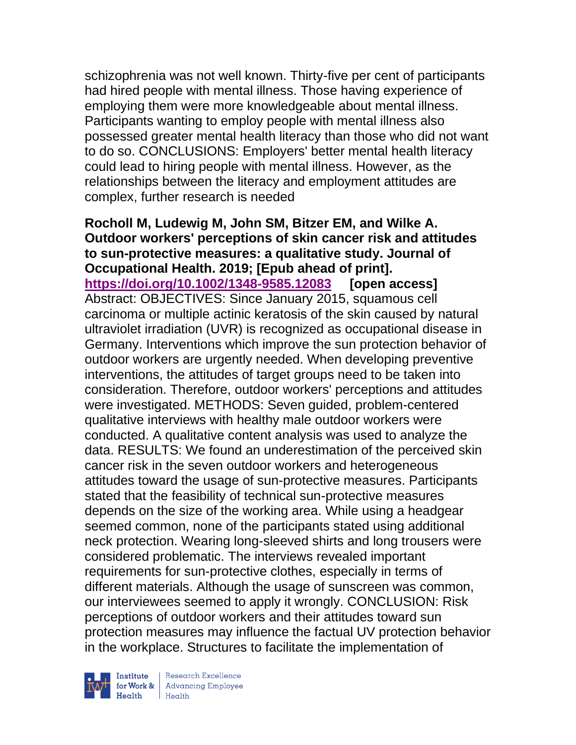schizophrenia was not well known. Thirty-five per cent of participants had hired people with mental illness. Those having experience of employing them were more knowledgeable about mental illness. Participants wanting to employ people with mental illness also possessed greater mental health literacy than those who did not want to do so. CONCLUSIONS: Employers' better mental health literacy could lead to hiring people with mental illness. However, as the relationships between the literacy and employment attitudes are complex, further research is needed

**Rocholl M, Ludewig M, John SM, Bitzer EM, and Wilke A. Outdoor workers' perceptions of skin cancer risk and attitudes to sun-protective measures: a qualitative study. Journal of Occupational Health. 2019; [Epub ahead of print]. <https://doi.org/10.1002/1348-9585.12083> [open access]** Abstract: OBJECTIVES: Since January 2015, squamous cell carcinoma or multiple actinic keratosis of the skin caused by natural ultraviolet irradiation (UVR) is recognized as occupational disease in Germany. Interventions which improve the sun protection behavior of outdoor workers are urgently needed. When developing preventive interventions, the attitudes of target groups need to be taken into consideration. Therefore, outdoor workers' perceptions and attitudes were investigated. METHODS: Seven guided, problem-centered qualitative interviews with healthy male outdoor workers were conducted. A qualitative content analysis was used to analyze the data. RESULTS: We found an underestimation of the perceived skin cancer risk in the seven outdoor workers and heterogeneous attitudes toward the usage of sun-protective measures. Participants stated that the feasibility of technical sun-protective measures depends on the size of the working area. While using a headgear seemed common, none of the participants stated using additional neck protection. Wearing long-sleeved shirts and long trousers were considered problematic. The interviews revealed important requirements for sun-protective clothes, especially in terms of different materials. Although the usage of sunscreen was common, our interviewees seemed to apply it wrongly. CONCLUSION: Risk perceptions of outdoor workers and their attitudes toward sun protection measures may influence the factual UV protection behavior in the workplace. Structures to facilitate the implementation of

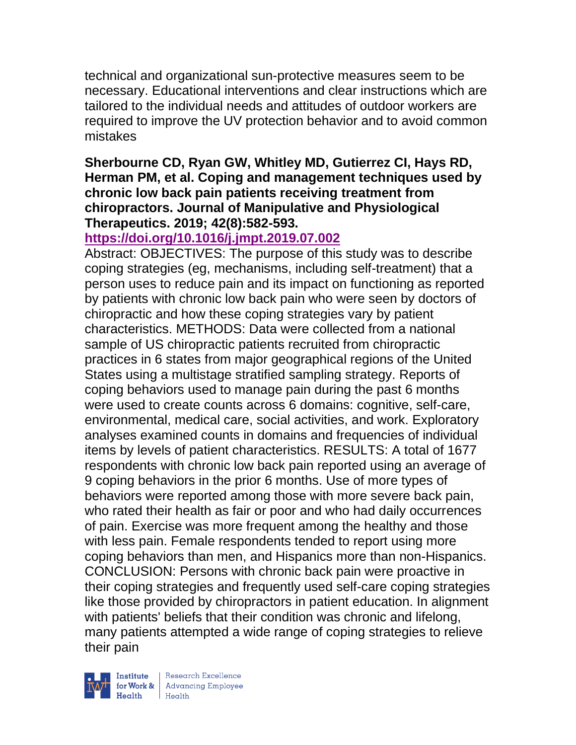technical and organizational sun-protective measures seem to be necessary. Educational interventions and clear instructions which are tailored to the individual needs and attitudes of outdoor workers are required to improve the UV protection behavior and to avoid common mistakes

### **Sherbourne CD, Ryan GW, Whitley MD, Gutierrez CI, Hays RD, Herman PM, et al. Coping and management techniques used by chronic low back pain patients receiving treatment from chiropractors. Journal of Manipulative and Physiological Therapeutics. 2019; 42(8):582-593.**

## **<https://doi.org/10.1016/j.jmpt.2019.07.002>**

Abstract: OBJECTIVES: The purpose of this study was to describe coping strategies (eg, mechanisms, including self-treatment) that a person uses to reduce pain and its impact on functioning as reported by patients with chronic low back pain who were seen by doctors of chiropractic and how these coping strategies vary by patient characteristics. METHODS: Data were collected from a national sample of US chiropractic patients recruited from chiropractic practices in 6 states from major geographical regions of the United States using a multistage stratified sampling strategy. Reports of coping behaviors used to manage pain during the past 6 months were used to create counts across 6 domains: cognitive, self-care, environmental, medical care, social activities, and work. Exploratory analyses examined counts in domains and frequencies of individual items by levels of patient characteristics. RESULTS: A total of 1677 respondents with chronic low back pain reported using an average of 9 coping behaviors in the prior 6 months. Use of more types of behaviors were reported among those with more severe back pain, who rated their health as fair or poor and who had daily occurrences of pain. Exercise was more frequent among the healthy and those with less pain. Female respondents tended to report using more coping behaviors than men, and Hispanics more than non-Hispanics. CONCLUSION: Persons with chronic back pain were proactive in their coping strategies and frequently used self-care coping strategies like those provided by chiropractors in patient education. In alignment with patients' beliefs that their condition was chronic and lifelong, many patients attempted a wide range of coping strategies to relieve their pain

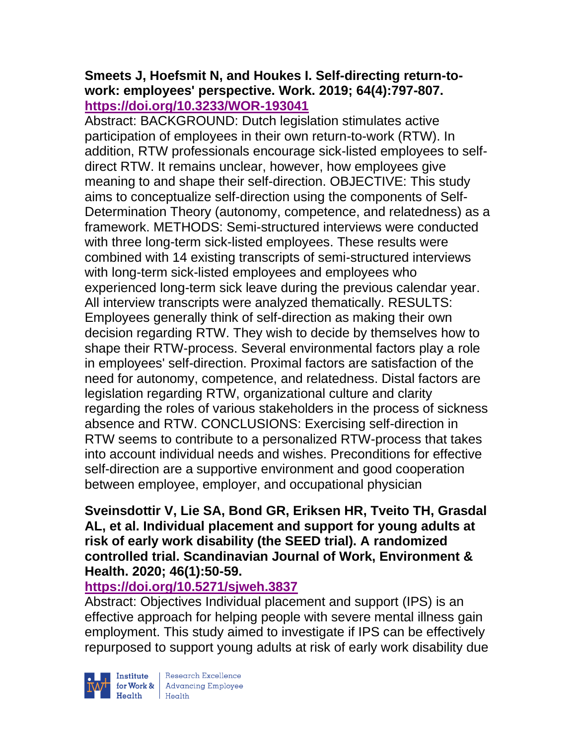### **Smeets J, Hoefsmit N, and Houkes I. Self-directing return-towork: employees' perspective. Work. 2019; 64(4):797-807. <https://doi.org/10.3233/WOR-193041>**

Abstract: BACKGROUND: Dutch legislation stimulates active participation of employees in their own return-to-work (RTW). In addition, RTW professionals encourage sick-listed employees to selfdirect RTW. It remains unclear, however, how employees give meaning to and shape their self-direction. OBJECTIVE: This study aims to conceptualize self-direction using the components of Self-Determination Theory (autonomy, competence, and relatedness) as a framework. METHODS: Semi-structured interviews were conducted with three long-term sick-listed employees. These results were combined with 14 existing transcripts of semi-structured interviews with long-term sick-listed employees and employees who experienced long-term sick leave during the previous calendar year. All interview transcripts were analyzed thematically. RESULTS: Employees generally think of self-direction as making their own decision regarding RTW. They wish to decide by themselves how to shape their RTW-process. Several environmental factors play a role in employees' self-direction. Proximal factors are satisfaction of the need for autonomy, competence, and relatedness. Distal factors are legislation regarding RTW, organizational culture and clarity regarding the roles of various stakeholders in the process of sickness absence and RTW. CONCLUSIONS: Exercising self-direction in RTW seems to contribute to a personalized RTW-process that takes into account individual needs and wishes. Preconditions for effective self-direction are a supportive environment and good cooperation between employee, employer, and occupational physician

### **Sveinsdottir V, Lie SA, Bond GR, Eriksen HR, Tveito TH, Grasdal AL, et al. Individual placement and support for young adults at risk of early work disability (the SEED trial). A randomized controlled trial. Scandinavian Journal of Work, Environment & Health. 2020; 46(1):50-59.**

## **<https://doi.org/10.5271/sjweh.3837>**

Abstract: Objectives Individual placement and support (IPS) is an effective approach for helping people with severe mental illness gain employment. This study aimed to investigate if IPS can be effectively repurposed to support young adults at risk of early work disability due



Institute Research Excellence<br>
for Work & Advancing Employee<br>
Health Health | Research Excellence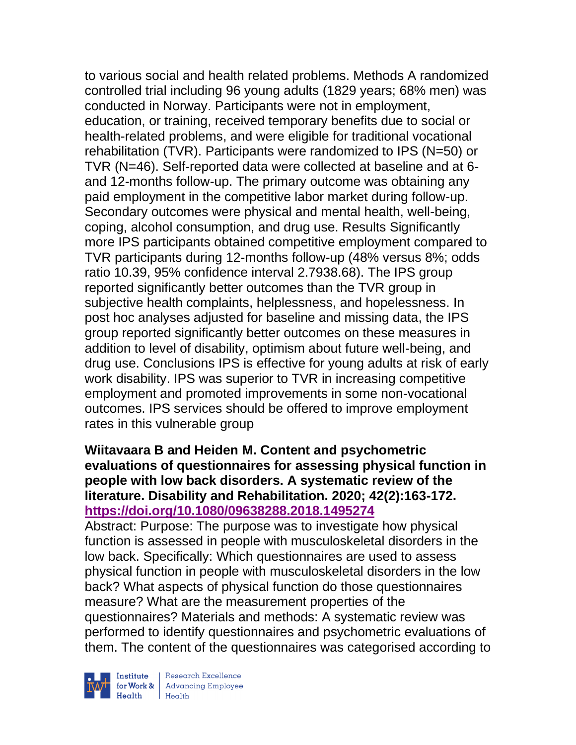to various social and health related problems. Methods A randomized controlled trial including 96 young adults (1829 years; 68% men) was conducted in Norway. Participants were not in employment, education, or training, received temporary benefits due to social or health-related problems, and were eligible for traditional vocational rehabilitation (TVR). Participants were randomized to IPS (N=50) or TVR (N=46). Self-reported data were collected at baseline and at 6 and 12-months follow-up. The primary outcome was obtaining any paid employment in the competitive labor market during follow-up. Secondary outcomes were physical and mental health, well-being, coping, alcohol consumption, and drug use. Results Significantly more IPS participants obtained competitive employment compared to TVR participants during 12-months follow-up (48% versus 8%; odds ratio 10.39, 95% confidence interval 2.7938.68). The IPS group reported significantly better outcomes than the TVR group in subjective health complaints, helplessness, and hopelessness. In post hoc analyses adjusted for baseline and missing data, the IPS group reported significantly better outcomes on these measures in addition to level of disability, optimism about future well-being, and drug use. Conclusions IPS is effective for young adults at risk of early work disability. IPS was superior to TVR in increasing competitive employment and promoted improvements in some non-vocational outcomes. IPS services should be offered to improve employment rates in this vulnerable group

### **Wiitavaara B and Heiden M. Content and psychometric evaluations of questionnaires for assessing physical function in people with low back disorders. A systematic review of the literature. Disability and Rehabilitation. 2020; 42(2):163-172. <https://doi.org/10.1080/09638288.2018.1495274>**

Abstract: Purpose: The purpose was to investigate how physical function is assessed in people with musculoskeletal disorders in the low back. Specifically: Which questionnaires are used to assess physical function in people with musculoskeletal disorders in the low back? What aspects of physical function do those questionnaires measure? What are the measurement properties of the questionnaires? Materials and methods: A systematic review was performed to identify questionnaires and psychometric evaluations of them. The content of the questionnaires was categorised according to



| Research Excellence **Institute** Research Excellence<br> **Fractional Advancing Employee**<br> **Health** Health